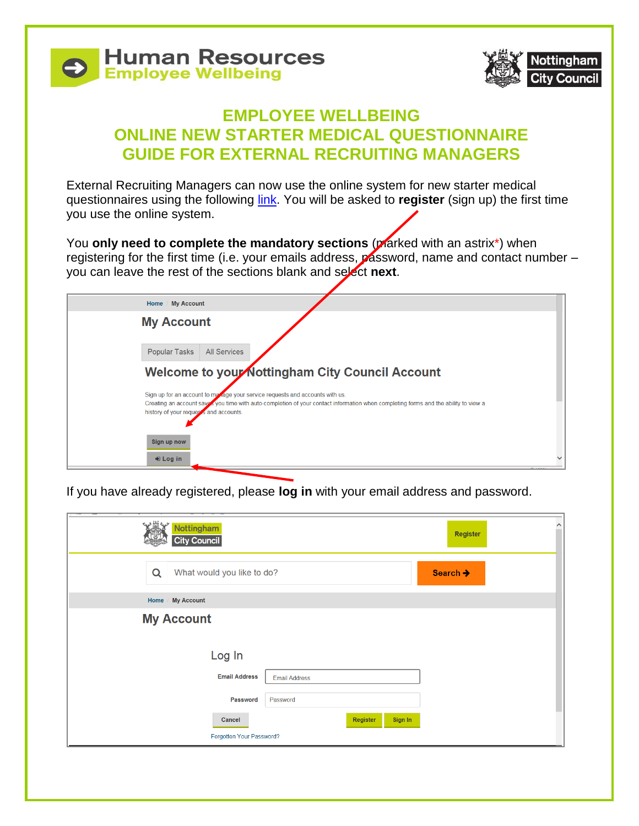



## **EMPLOYEE WELLBEING ONLINE NEW STARTER MEDICAL QUESTIONNAIRE GUIDE FOR EXTERNAL RECRUITING MANAGERS**

External Recruiting Managers can now use the online system for new starter medical questionnaires using the following [link.](https://myaccount.nottinghamcity.gov.uk/AchieveForms/?mode=fill&form_uri=sandbox-publish://AF-Process-b245f2ef-1412-4665-ac55-1f63484fd805/AF-Stage-dc235757-14a3-4fd3-832f-bdac0e9562c8/definition.json&process=1&process_uri=sandbox-processes://AF-Process-b245f2ef-1412-4665-ac55-1f63484fd805&process_id=AF-Process-b245f2ef-1412-4665-ac55-1f63484fd805) You will be asked to **register** (sign up) the first time you use the online system.

You **only need to complete the mandatory sections** (plarked with an astrix<sup>\*</sup>) when registering for the first time (i.e. your emails address, password, name and contact number you can leave the rest of the sections blank and select **next**.

| Home / My Account                      |                                                                                                                                                                                                                    |
|----------------------------------------|--------------------------------------------------------------------------------------------------------------------------------------------------------------------------------------------------------------------|
| <b>My Account</b>                      |                                                                                                                                                                                                                    |
| Popular Tasks                          | <b>All Services</b>                                                                                                                                                                                                |
|                                        | Welcome to your Nottingham City Council Account                                                                                                                                                                    |
| history of your requests and accounts. | Sign up for an account to manage your service requests and accounts with us.<br>Creating an account says you time with auto-completion of your contact information when completing forms and the ability to view a |
| Sign up now                            |                                                                                                                                                                                                                    |
| $\bigstar$ Log in                      |                                                                                                                                                                                                                    |

If you have already registered, please **log in** with your email address and password.

| Nottingham<br><b>City Council</b> | $\hat{}$<br><b>Register</b> |
|-----------------------------------|-----------------------------|
| What would you like to do?<br>Q   | Search $\rightarrow$        |
| <b>My Account</b><br>Home         |                             |
| <b>My Account</b>                 |                             |
| Log In                            |                             |
| <b>Email Address</b>              | <b>Email Address</b>        |
| Password                          | Password                    |
| Cancel                            | Register<br>Sign In         |
| Forgotten Your Password?          |                             |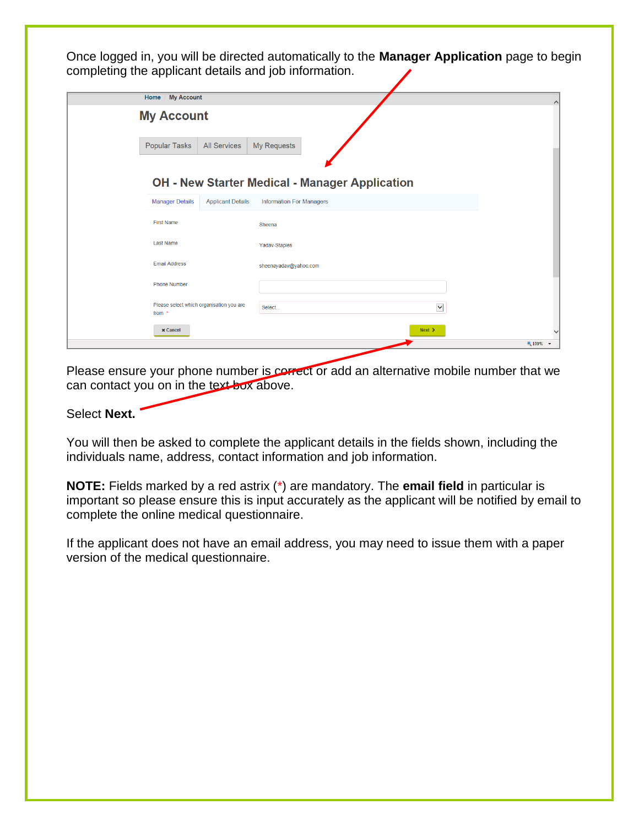Once logged in, you will be directed automatically to the **Manager Application** page to begin completing the applicant details and job information.

| <b>My Account</b><br>Home /                        |                          |                                                       | o        |
|----------------------------------------------------|--------------------------|-------------------------------------------------------|----------|
| <b>My Account</b>                                  |                          |                                                       |          |
| Popular Tasks                                      | <b>All Services</b>      | My Requests                                           |          |
|                                                    |                          |                                                       |          |
|                                                    |                          |                                                       |          |
|                                                    |                          | <b>OH - New Starter Medical - Manager Application</b> |          |
| <b>Manager Details</b>                             | <b>Applicant Details</b> | <b>Information For Managers</b>                       |          |
| <b>First Name</b>                                  |                          | Sheena                                                |          |
| <b>Last Name</b>                                   |                          | Yadav-Staples                                         |          |
| <b>Email Address</b>                               |                          | sheenayadav@yahoo.com                                 |          |
| <b>Phone Number</b>                                |                          |                                                       |          |
| Please select which organisation you are<br>from * |                          | $\checkmark$<br>Select                                |          |
| <b>x</b> Cancel                                    |                          | $Next$ >                                              |          |
|                                                    |                          |                                                       | ● 100% ▼ |

Please ensure your phone number is correct or add an alternative mobile number that we can contact you on in the text box above.

## Select **Next.**

You will then be asked to complete the applicant details in the fields shown, including the individuals name, address, contact information and job information.

**NOTE:** Fields marked by a red astrix (\*) are mandatory. The **email field** in particular is important so please ensure this is input accurately as the applicant will be notified by email to complete the online medical questionnaire.

If the applicant does not have an email address, you may need to issue them with a paper version of the medical questionnaire.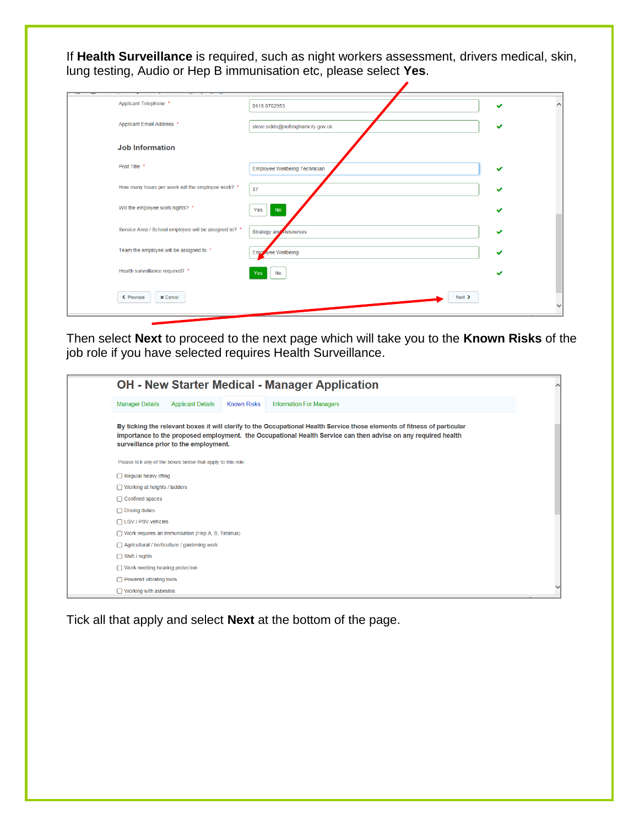If **Health Surveillance** is required, such as night workers assessment, drivers medical, skin, lung testing, Audio or Hep B immunisation etc, please select **Yes**.

| Applicant Telephone *                                 | 0115 8762953                         | ✓            |
|-------------------------------------------------------|--------------------------------------|--------------|
| Applicant Email Address *                             | steve.siddo@nottinghamcity.gov.uk    | ✔            |
| <b>Job Information</b>                                |                                      |              |
| Post Title *                                          | <b>Employee Wellbeing Technician</b> | ✔            |
| How many hours per week will the employee work? *     | 37                                   | ✔            |
| Will the employee work nights? *                      | <b>No</b><br>Yes<br>ı                | ◡            |
| Service Area / School employee will be assigned to? * | Strategy and Resources               | ✔            |
| Team the employee will be assigned to *               | Employee Wellbeing                   | ✓            |
| Health surveillance required? *                       | <b>No</b><br>Yes                     |              |
| ← Previous<br><b>x</b> Cancel                         | $Next$ >                             | $\checkmark$ |

Then select **Next** to proceed to the next page which will take you to the **Known Risks** of the job role if you have selected requires Health Surveillance.

| <b>OH - New Starter Medical - Manager Application</b>                                                       |                                                             |  |                                                                                                                                                                                                                                           |  |  |  |  |  |
|-------------------------------------------------------------------------------------------------------------|-------------------------------------------------------------|--|-------------------------------------------------------------------------------------------------------------------------------------------------------------------------------------------------------------------------------------------|--|--|--|--|--|
| <b>Manager Details</b><br><b>Applicant Details</b><br><b>Known Risks</b><br><b>Information For Managers</b> |                                                             |  |                                                                                                                                                                                                                                           |  |  |  |  |  |
|                                                                                                             | surveillance prior to the employment.                       |  | By ticking the relevant boxes it will clarify to the Occupational Health Service those elements of fitness of particular<br>importance to the proposed employment. the Occupational Health Service can then advise on any required health |  |  |  |  |  |
|                                                                                                             | Please tick any of the boxes below that apply to this role: |  |                                                                                                                                                                                                                                           |  |  |  |  |  |
| $\Box$ Regular heavy lifting                                                                                |                                                             |  |                                                                                                                                                                                                                                           |  |  |  |  |  |
| $\Box$ Working at heights / ladders                                                                         |                                                             |  |                                                                                                                                                                                                                                           |  |  |  |  |  |
| $\Box$ Confined spaces                                                                                      |                                                             |  |                                                                                                                                                                                                                                           |  |  |  |  |  |
| $\Box$ Driving duties                                                                                       |                                                             |  |                                                                                                                                                                                                                                           |  |  |  |  |  |
| $\Box$ LGV / PSV vehicles                                                                                   |                                                             |  |                                                                                                                                                                                                                                           |  |  |  |  |  |
|                                                                                                             | $\Box$ Work requires an immunisation (Hep A, B, Tetanus)    |  |                                                                                                                                                                                                                                           |  |  |  |  |  |
|                                                                                                             | $\Box$ Agricultural / horticulture / gardening work         |  |                                                                                                                                                                                                                                           |  |  |  |  |  |
| $\Box$ Shift / nights                                                                                       |                                                             |  |                                                                                                                                                                                                                                           |  |  |  |  |  |
| $\Box$ Work needing hearing protection                                                                      |                                                             |  |                                                                                                                                                                                                                                           |  |  |  |  |  |
| $\Box$ Powered vibrating tools                                                                              |                                                             |  |                                                                                                                                                                                                                                           |  |  |  |  |  |
| $\Box$ Working with asbestos                                                                                |                                                             |  |                                                                                                                                                                                                                                           |  |  |  |  |  |

Tick all that apply and select **Next** at the bottom of the page.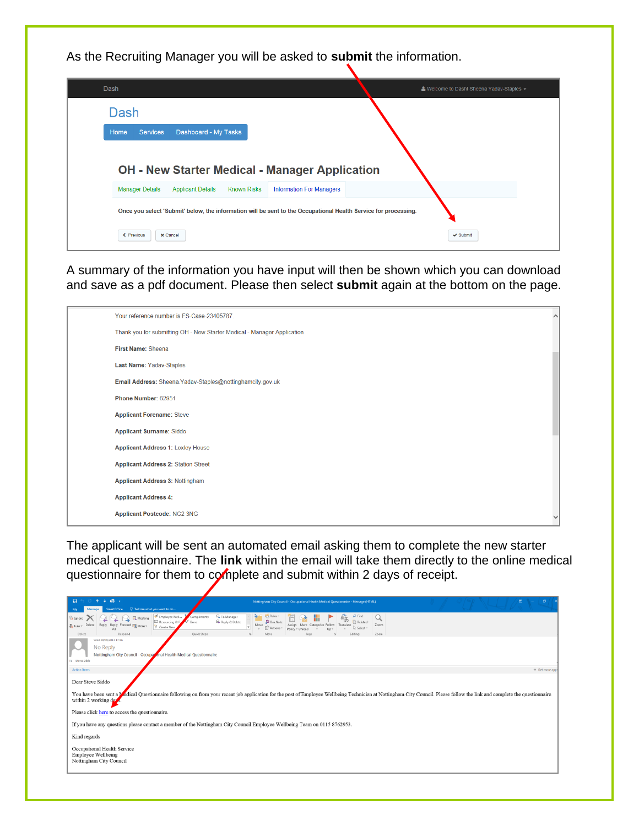As the Recruiting Manager you will be asked to **submit** the information.

| Dash                    |                                                                                                                 |                                 | & Welcome to Dash! Sheena Yadav-Staples - |
|-------------------------|-----------------------------------------------------------------------------------------------------------------|---------------------------------|-------------------------------------------|
| Dash                    |                                                                                                                 |                                 |                                           |
| Home<br><b>Services</b> | Dashboard - My Tasks                                                                                            |                                 |                                           |
|                         |                                                                                                                 |                                 |                                           |
| <b>Manager Details</b>  | <b>OH - New Starter Medical - Manager Application</b><br><b>Known Risks</b><br><b>Applicant Details</b>         | <b>Information For Managers</b> |                                           |
|                         | Once you select 'Submit' below, the information will be sent to the Occupational Health Service for processing. |                                 |                                           |

A summary of the information you have input will then be shown which you can download and save as a pdf document. Please then select **submit** again at the bottom on the page.

| Your reference number is FS-Case-23405787.                              | $\wedge$ |
|-------------------------------------------------------------------------|----------|
| Thank you for submitting OH - New Starter Medical - Manager Application |          |
| First Name: Sheena                                                      |          |
| Last Name: Yadav-Staples                                                |          |
| Email Address: Sheena Yadav-Staples@nottinghamcity.gov.uk               |          |
| Phone Number: 62951                                                     |          |
| <b>Applicant Forename: Steve</b>                                        |          |
| <b>Applicant Surname: Siddo</b>                                         |          |
| <b>Applicant Address 1: Loxley House</b>                                |          |
| <b>Applicant Address 2: Station Street</b>                              |          |
| <b>Applicant Address 3: Nottingham</b>                                  |          |
| <b>Applicant Address 4:</b>                                             |          |
| Applicant Postcode: NG2 3NG                                             |          |

The applicant will be sent an automated email asking them to complete the new starter medical questionnaire. The **link** within the email will take them directly to the online medical questionnaire for them to complete and submit within 2 days of receipt.

| 13<br>$\mathbf{H}$<br>Q Tell me what you want to do<br><b>SmartOffice</b>                                                                                                                                        | Nottingham City Council - Occupational Health Medical Questionnaire - Message (HTML)                                                                                                                                                            | $\sigma$<br><b>ED</b> |
|------------------------------------------------------------------------------------------------------------------------------------------------------------------------------------------------------------------|-------------------------------------------------------------------------------------------------------------------------------------------------------------------------------------------------------------------------------------------------|-----------------------|
| Employee Well<br>Compliments<br><b>D</b> . Meeting<br><b>R</b> Ignor<br>Done<br>Resourcing & R.<br>Reply Reply Forward <b>BR</b> More<br>Delete<br>$2$ Junk-<br>F Create New<br>Quick Steps<br>Respond<br>Delete | $\rho$ Find<br><sup>2</sup> To Manager<br>碼<br><b>TER</b> Rules<br>Reply & Delete<br>Related -<br>OneNote<br>Zoom<br>Move<br>Mark Categorize Follow<br>Translate<br>2 Select-<br>P Actions -<br>Policy - Unn<br>Zoom<br>Editing<br>Tags<br>Move |                       |
| Wed 20/09/2017 17:16<br>No Reply<br>Nottingham City Council - Occupational Health Medical Questionnaire<br>To Steve Siddo                                                                                        |                                                                                                                                                                                                                                                 |                       |
| <b>Action Items</b>                                                                                                                                                                                              |                                                                                                                                                                                                                                                 | + Get more app        |
| Dear Steve Siddo<br>within 2 working days.<br>Please click here to access the questionnaire.                                                                                                                     | You have been sent a <b>Medical Questionnaire following on from your recent job application for the post of Employee Wellbeing Technician at Nottingham City Council. Please follow the link and complete the questionnaire</b>                 |                       |
|                                                                                                                                                                                                                  | If you have any questions please contact a member of the Nottingham City Council Employee Wellbeing Team on 0115 8762953.                                                                                                                       |                       |
| Kind regards<br>Occupational Health Service<br>Employee Wellbeing<br>Nottingham City Council                                                                                                                     |                                                                                                                                                                                                                                                 |                       |